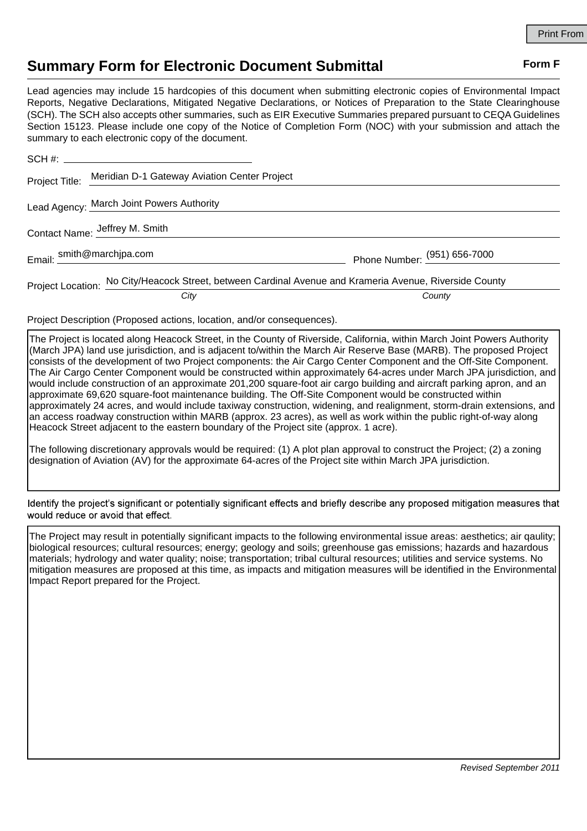## **Summary Form for Electronic Document Submittal Form F Form F**

Lead agencies may include 15 hardcopies of this document when submitting electronic copies of Environmental Impact Reports, Negative Declarations, Mitigated Negative Declarations, or Notices of Preparation to the State Clearinghouse (SCH). The SCH also accepts other summaries, such as EIR Executive Summaries prepared pursuant to CEQA Guidelines Section 15123. Please include one copy of the Notice of Completion Form (NOC) with your submission and attach the summary to each electronic copy of the document.

|                                | Project Title: Meridian D-1 Gateway Aviation Center Project                                             |                              |
|--------------------------------|---------------------------------------------------------------------------------------------------------|------------------------------|
|                                | Lead Agency: March Joint Powers Authority                                                               |                              |
| Contact Name: Jeffrey M. Smith |                                                                                                         |                              |
|                                | Email: smith@marchjpa.com                                                                               | Phone Number: (951) 656-7000 |
|                                | Project Location: No City/Heacock Street, between Cardinal Avenue and Krameria Avenue, Riverside County |                              |
|                                | City                                                                                                    | County                       |

Project Description (Proposed actions, location, and/or consequences).

The Project is located along Heacock Street, in the County of Riverside, California, within March Joint Powers Authority (March JPA) land use jurisdiction, and is adjacent to/within the March Air Reserve Base (MARB). The proposed Project consists of the development of two Project components: the Air Cargo Center Component and the Off-Site Component. The Air Cargo Center Component would be constructed within approximately 64-acres under March JPA jurisdiction, and would include construction of an approximate 201,200 square-foot air cargo building and aircraft parking apron, and an approximate 69,620 square-foot maintenance building. The Off-Site Component would be constructed within approximately 24 acres, and would include taxiway construction, widening, and realignment, storm-drain extensions, and an access roadway construction within MARB (approx. 23 acres), as well as work within the public right-of-way along Heacock Street adjacent to the eastern boundary of the Project site (approx. 1 acre).

The following discretionary approvals would be required: (1) A plot plan approval to construct the Project; (2) a zoning designation of Aviation (AV) for the approximate 64-acres of the Project site within March JPA jurisdiction.

Identify the project's significant or potentially significant effects and briefly describe any proposed mitigation measures that would reduce or avoid that effect.

The Project may result in potentially significant impacts to the following environmental issue areas: aesthetics; air qaulity; biological resources; cultural resources; energy; geology and soils; greenhouse gas emissions; hazards and hazardous materials; hydrology and water quality; noise; transportation; tribal cultural resources; utilities and service systems. No mitigation measures are proposed at this time, as impacts and mitigation measures will be identified in the Environmental Impact Report prepared for the Project.